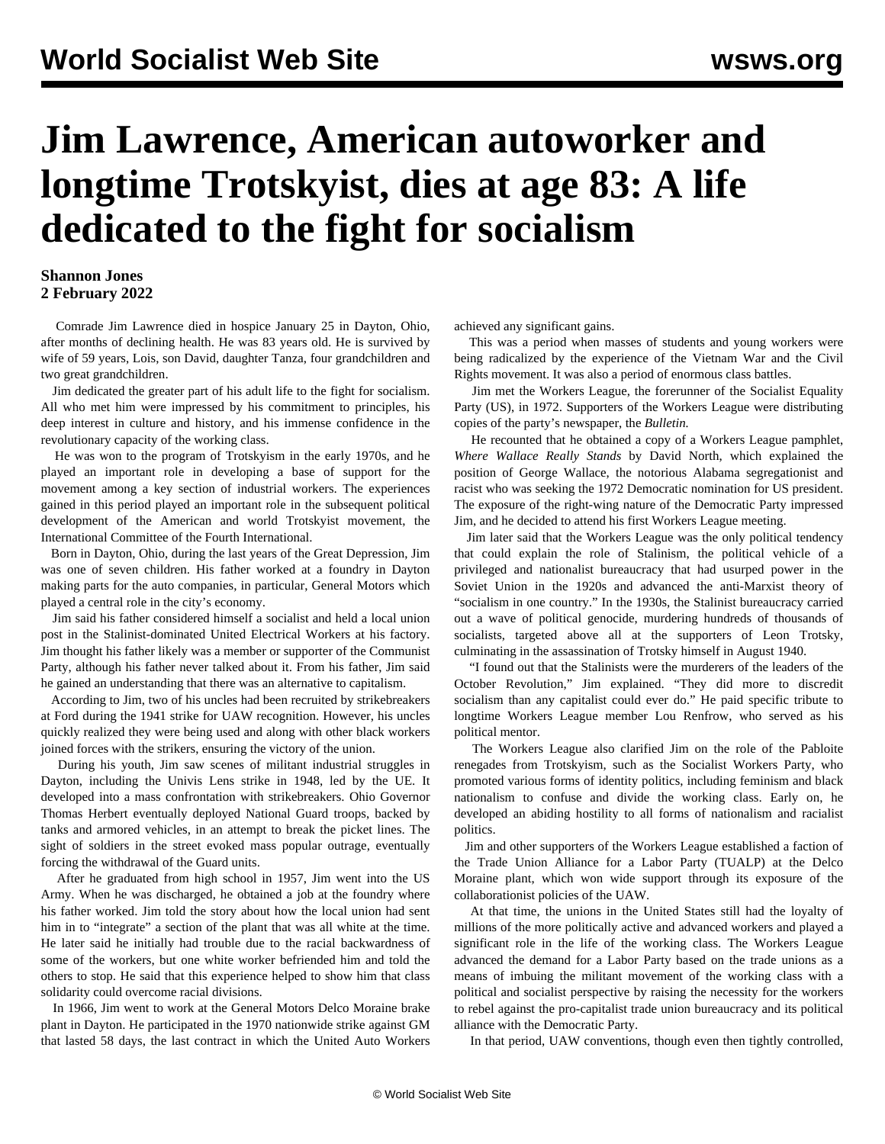## **Jim Lawrence, American autoworker and longtime Trotskyist, dies at age 83: A life dedicated to the fight for socialism**

## **Shannon Jones 2 February 2022**

 Comrade Jim Lawrence died in hospice January 25 in Dayton, Ohio, after months of declining health. He was 83 years old. He is survived by wife of 59 years, Lois, son David, daughter Tanza, four grandchildren and two great grandchildren.

 Jim dedicated the greater part of his adult life to the fight for socialism. All who met him were impressed by his commitment to principles, his deep interest in culture and history, and his immense confidence in the revolutionary capacity of the working class.

 He was won to the program of Trotskyism in the early 1970s, and he played an important role in developing a base of support for the movement among a key section of industrial workers. The experiences gained in this period played an important role in the subsequent political development of the American and world Trotskyist movement, the International Committee of the Fourth International.

 Born in Dayton, Ohio, during the last years of the Great Depression, Jim was one of seven children. His father worked at a foundry in Dayton making parts for the auto companies, in particular, General Motors which played a central role in the city's economy.

 Jim said his father considered himself a socialist and held a local union post in the Stalinist-dominated United Electrical Workers at his factory. Jim thought his father likely was a member or supporter of the Communist Party, although his father never talked about it. From his father, Jim said he gained an understanding that there was an alternative to capitalism.

 According to Jim, two of his uncles had been recruited by strikebreakers at Ford during the 1941 strike for UAW recognition. However, his uncles quickly realized they were being used and along with other black workers joined forces with the strikers, ensuring the victory of the union.

 During his youth, Jim saw scenes of militant industrial struggles in Dayton, including the Univis Lens strike in 1948, led by the UE. It developed into a mass confrontation with strikebreakers. Ohio Governor Thomas Herbert eventually deployed National Guard troops, backed by tanks and armored vehicles, in an attempt to break the picket lines. The sight of soldiers in the street evoked mass popular outrage, eventually forcing the withdrawal of the Guard units.

 After he graduated from high school in 1957, Jim went into the US Army. When he was discharged, he obtained a job at the foundry where his father worked. Jim told the story about how the local union had sent him in to "integrate" a section of the plant that was all white at the time. He later said he initially had trouble due to the racial backwardness of some of the workers, but one white worker befriended him and told the others to stop. He said that this experience helped to show him that class solidarity could overcome racial divisions.

 In 1966, Jim went to work at the General Motors Delco Moraine brake plant in Dayton. He participated in the 1970 nationwide strike against GM that lasted 58 days, the last contract in which the United Auto Workers

achieved any significant gains.

 This was a period when masses of students and young workers were being radicalized by the experience of the Vietnam War and the Civil Rights movement. It was also a period of enormous class battles.

 Jim met the Workers League, the forerunner of the Socialist Equality Party (US), in 1972. Supporters of the Workers League were distributing copies of the party's newspaper, the *Bulletin.*

 He recounted that he obtained a copy of a Workers League pamphlet, *Where Wallace Really Stands* by David North, which explained the position of George Wallace, the notorious Alabama segregationist and racist who was seeking the 1972 Democratic nomination for US president. The exposure of the right-wing nature of the Democratic Party impressed Jim, and he decided to attend his first Workers League meeting.

 Jim later said that the Workers League was the only political tendency that could explain the role of Stalinism, the political vehicle of a privileged and nationalist bureaucracy that had usurped power in the Soviet Union in the 1920s and advanced the anti-Marxist theory of "socialism in one country." In the 1930s, the Stalinist bureaucracy carried out a wave of political genocide, murdering hundreds of thousands of socialists, targeted above all at the supporters of Leon Trotsky, culminating in the assassination of Trotsky himself in August 1940.

 "I found out that the Stalinists were the murderers of the leaders of the October Revolution," Jim explained. "They did more to discredit socialism than any capitalist could ever do." He paid specific tribute to longtime Workers League member [Lou Renfrow](/en/articles/2014/02/06/renf-f06.html), who served as his political mentor.

 The Workers League also clarified Jim on the role of the Pabloite renegades from Trotskyism, such as the Socialist Workers Party, who promoted various forms of identity politics, including feminism and black nationalism to confuse and divide the working class. Early on, he developed an abiding hostility to all forms of nationalism and racialist politics.

 Jim and other supporters of the Workers League established a faction of the Trade Union Alliance for a Labor Party (TUALP) at the Delco Moraine plant, which won wide support through its exposure of the collaborationist policies of the UAW.

 At that time, the unions in the United States still had the loyalty of millions of the more politically active and advanced workers and played a significant role in the life of the working class. The Workers League advanced the demand for a Labor Party based on the trade unions as a means of imbuing the militant movement of the working class with a political and socialist perspective by raising the necessity for the workers to rebel against the pro-capitalist trade union bureaucracy and its political alliance with the Democratic Party.

In that period, UAW conventions, though even then tightly controlled,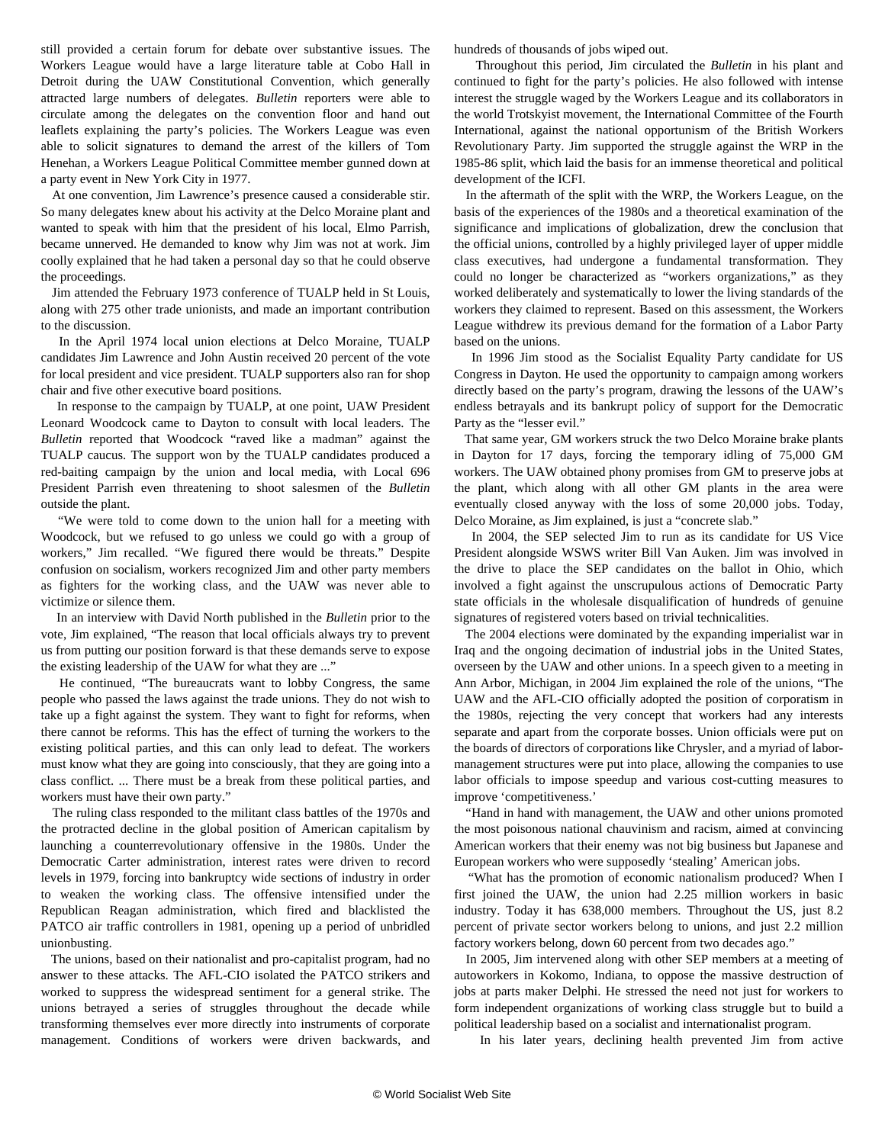still provided a certain forum for debate over substantive issues. The Workers League would have a large literature table at Cobo Hall in Detroit during the UAW Constitutional Convention, which generally attracted large numbers of delegates. *Bulletin* reporters were able to circulate among the delegates on the convention floor and hand out leaflets explaining the party's policies. The Workers League was even able to solicit signatures to demand the arrest of the killers of Tom Henehan, a Workers League Political Committee member gunned down at a party event in New York City in 1977.

 At one convention, Jim Lawrence's presence caused a considerable stir. So many delegates knew about his activity at the Delco Moraine plant and wanted to speak with him that the president of his local, Elmo Parrish, became unnerved. He demanded to know why Jim was not at work. Jim coolly explained that he had taken a personal day so that he could observe the proceedings.

 Jim attended the February 1973 conference of TUALP held in St Louis, along with 275 other trade unionists, and made an important contribution to the discussion.

 In the April 1974 local union elections at Delco Moraine, TUALP candidates Jim Lawrence and John Austin received 20 percent of the vote for local president and vice president. TUALP supporters also ran for shop chair and five other executive board positions.

 In response to the campaign by TUALP, at one point, UAW President [Leonard Woodcock](/en/articles/2001/02/wood-f03.html) came to Dayton to consult with local leaders. The *Bulletin* reported that Woodcock "raved like a madman" against the TUALP caucus. The support won by the TUALP candidates produced a red-baiting campaign by the union and local media, with Local 696 President Parrish even threatening to shoot salesmen of the *Bulletin* outside the plant.

 "We were told to come down to the union hall for a meeting with Woodcock, but we refused to go unless we could go with a group of workers," Jim recalled. "We figured there would be threats." Despite confusion on socialism, workers recognized Jim and other party members as fighters for the working class, and the UAW was never able to victimize or silence them.

 In an interview with David North published in the *Bulletin* prior to the vote, Jim explained, "The reason that local officials always try to prevent us from putting our position forward is that these demands serve to expose the existing leadership of the UAW for what they are ..."

 He continued, "The bureaucrats want to lobby Congress, the same people who passed the laws against the trade unions. They do not wish to take up a fight against the system. They want to fight for reforms, when there cannot be reforms. This has the effect of turning the workers to the existing political parties, and this can only lead to defeat. The workers must know what they are going into consciously, that they are going into a class conflict. ... There must be a break from these political parties, and workers must have their own party."

 The ruling class responded to the militant class battles of the 1970s and the protracted decline in the global position of American capitalism by launching a counterrevolutionary offensive in the 1980s. Under the Democratic Carter administration, interest rates were driven to record levels in 1979, forcing into bankruptcy wide sections of industry in order to weaken the working class. The offensive intensified under the Republican Reagan administration, which fired and blacklisted the PATCO air traffic controllers in 1981, opening up a period of unbridled unionbusting.

 The unions, based on their nationalist and pro-capitalist program, had no answer to these attacks. The AFL-CIO isolated the PATCO strikers and worked to suppress the widespread sentiment for a general strike. The unions betrayed a series of struggles throughout the decade while transforming themselves ever more directly into instruments of corporate management. Conditions of workers were driven backwards, and hundreds of thousands of jobs wiped out.

 Throughout this period, Jim circulated the *Bulletin* in his plant and continued to fight for the party's policies. He also followed with intense interest the struggle waged by the Workers League and its collaborators in the world Trotskyist movement, the International Committee of the Fourth International, against the national opportunism of the British Workers Revolutionary Party. Jim supported the struggle against the WRP in the [1985-86 split](/en/special/library/foundations-sl/23.html), which laid the basis for an immense theoretical and political development of the ICFI.

 In the aftermath of the split with the WRP, the Workers League, on the basis of the experiences of the 1980s and a theoretical examination of the significance and implications of globalization, drew the conclusion that the official unions, controlled by a highly privileged layer of upper middle class executives, had undergone a fundamental transformation. They could no longer be characterized as "workers organizations," as they worked deliberately and systematically to lower the living standards of the workers they claimed to represent. Based on this assessment, the Workers League withdrew its previous demand for the formation of a Labor Party based on the unions.

 In 1996 Jim stood as the Socialist Equality Party candidate for US Congress in Dayton. He used the opportunity to campaign among workers directly based on the party's program, drawing the lessons of the UAW's endless betrayals and its bankrupt policy of support for the Democratic Party as the "lesser evil."

 That same year, GM workers struck the two Delco Moraine brake plants in Dayton for 17 days, forcing the temporary idling of 75,000 GM workers. The UAW obtained phony promises from GM to preserve jobs at the plant, which along with all other GM plants in the area were eventually closed anyway with the loss of some 20,000 jobs. Today, Delco Moraine, as Jim explained, is just a "concrete slab."

 In 2004, the SEP selected Jim to run as its candidate for US Vice President alongside WSWS writer Bill Van Auken. Jim was involved in the drive to place the SEP candidates on the ballot in Ohio, which involved a fight against the unscrupulous actions of Democratic Party state officials in the wholesale disqualification of hundreds of genuine signatures of registered voters based on trivial technicalities.

 The 2004 elections were dominated by the expanding imperialist war in Iraq and the ongoing decimation of industrial jobs in the United States, overseen by the UAW and other unions. In a speech given to a meeting in Ann Arbor, Michigan, in 2004 Jim explained the role of the unions, "The UAW and the AFL-CIO officially adopted the position of corporatism in the 1980s, rejecting the very concept that workers had any interests separate and apart from the corporate bosses. Union officials were put on the boards of directors of corporations like Chrysler, and a myriad of labormanagement structures were put into place, allowing the companies to use labor officials to impose speedup and various cost-cutting measures to improve 'competitiveness.'

 "Hand in hand with management, the UAW and other unions promoted the most poisonous national chauvinism and racism, aimed at convincing American workers that their enemy was not big business but Japanese and European workers who were supposedly 'stealing' American jobs.

 "What has the promotion of economic nationalism produced? When I first joined the UAW, the union had 2.25 million workers in basic industry. Today it has 638,000 members. Throughout the US, just 8.2 percent of private sector workers belong to unions, and just 2.2 million factory workers belong, down 60 percent from two decades ago."

 In 2005, Jim intervened along with other SEP members at a meeting of autoworkers in Kokomo, Indiana, to oppose the massive destruction of jobs at parts maker Delphi. He stressed the need not just for workers to form independent organizations of working class struggle but to build a political leadership based on a socialist and internationalist program.

In his later years, declining health prevented Jim from active